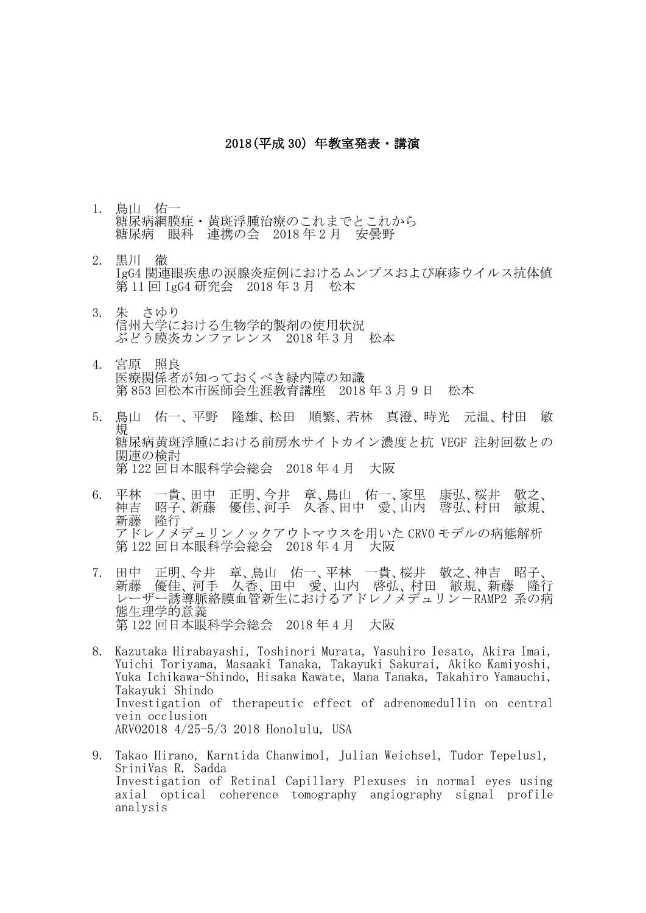## 2018(平成 30)年教室発表・講演

- 1. 鳥山 佑一 糖尿病網膜症・黄斑浮腫治療のこれまでとこれから 糖尿病 眼科 連携の会 2018 年 2 月 安曇野
- 2. 黒川 徹 IgG4 関連眼疾患の涙腺炎症例におけるムンプスおよび麻疹ウイルス抗体値 第 11 回 IgG4 研究会 2018 年 3 月 松本
- 3. 朱 さゆり 信州大学における生物学的製剤の使用状況 ぶどう膜炎カンファレンス 2018 年 3 月 松本
- 4. 宮原 照良 医療関係者が知っておくべき緑内障の知識 第 853 回松本市医師会生涯教育講座 2018 年 3 月 9 日 松本
- 5. 鳥山 佑一、平野 隆雄、松田 順繁、若林 真澄、時光 元温、村田 敏 規 糖尿病黄斑浮腫における前房水サイトカイン濃度と抗 VEGF 注射回数との 関連の検討 第 122 回日本眼科学会総会 2018 年 4 月 大阪
- 6. 平林 一貴、田中 正明、今井 章、鳥山 佑一、家里 康弘、桜井 敬之、 優佳、河手 久香、田中 愛、山内 啓弘、村田 敏規、 新藤 隆行 アドレノメデュリンノックアウトマウスを用いた CRVO モデルの病態解析 第 122 回日本眼科学会総会 2018 年 4 月 大阪
- 7. 田中 正明、今井 章、鳥山 佑一、平林 一貴、桜井 敬之、神吉 昭子、 新藤 優佳、河手 久香、田中 愛、山内 啓弘、村田 敏規、新藤 隆行 レーザー誘導脈絡膜血管新生におけるアドレノメデュリン-RAMP2 系の病 態生理学的意義 第 122 回日本眼科学会総会 2018 年 4 月 大阪
- 8. Kazutaka Hirabayashi, Toshinori Murata, Yasuhiro Iesato, Akira Imai, Yuichi Toriyama, Masaaki Tanaka, Takayuki Sakurai, Akiko Kamiyoshi, Yuka Ichikawa-Shindo, Hisaka Kawate, Mana Tanaka, Takahiro Yamauchi, Takayuki Shindo Investigation of therapeutic effect of adrenomedullin on central vein occlusion ARVO2018 4/25-5/3 2018 Honolulu, USA
- 9. Takao Hirano, Karntida Chanwimol, Julian Weichsel, Tudor Tepelus1, SriniVas R. Sadda Investigation of Retinal Capillary Plexuses in normal eyes using axial optical coherence tomography angiography signal profile analysis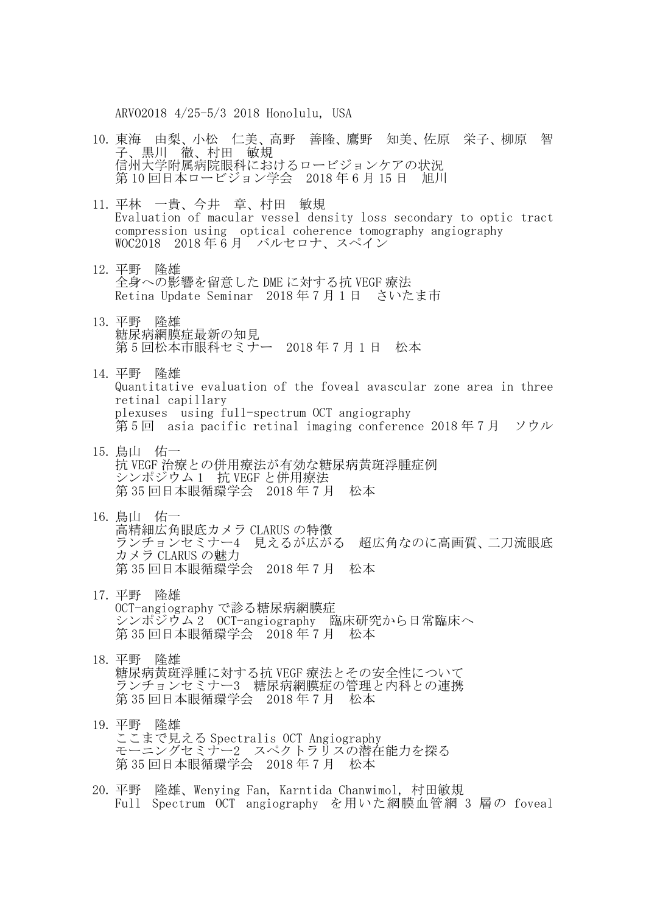ARVO2018 4/25-5/3 2018 Honolulu, USA

- 10. 東海 由梨、小松 仁美、高野 善隆、鷹野 知美、佐原 栄子、柳原 智 子、黒川 徹、村田 敏規 信州大学附属病院眼科におけるロービジョンケアの状況 第10回日本ロービジョン学会 2018年6月15日 旭川
- 11. 平林 一貴、今井 章、村田 敏規 Evaluation of macular vessel density loss secondary to optic tract compression using optical coherence tomography angiography WOC2018 2018年6月 バルセロナ、スペイン
- 12. 平野 隆雄 全身への影響を留意した DME に対する抗 VEGF 療法 Retina Update Seminar 2018 年 7 月 1 日 さいたま市
- 13. 平野 隆雄 糖尿病網膜症最新の知見 第5回松本市眼科セミナー 2018年7月1日 松本
- 14. 平野 隆雄 Quantitative evaluation of the foveal avascular zone area in three retinal capillary plexuses using full-spectrum OCT angiography 第 5 回 asia pacific retinal imaging conference 2018 年 7 月 ソウル
- 15. 鳥山 佑一 抗 VEGF 治療との併用療法が有効な糖尿病黄斑浮腫症例 シンポジウム 1 抗 VEGF と併用療法 第 35 回日本眼循環学会 2018 年 7 月 松本
- 16. 鳥山 佑一 高精細広角眼底カメラ CLARUS の特徴 ランチョンセミナー4 見えるが広がる 超広角なのに高画質、二刀流眼底 カメラ CLARUS の魅力 第 35 回日本眼循環学会 2018 年 7 月 松本
- 17. 平野 隆雄 OCT-angiography で診る糖尿病網膜症 シンポジウム 2 OCT-angiography 臨床研究から日常臨床へ 第 35 回日本眼循環学会 2018 年 7 月 松本
- 18. 平野 隆雄 糖尿病黄斑浮腫に対する抗 VEGF 療法とその安全性について ランチョンセミナー3 糖尿病網膜症の管理と内科との連携 第 35 回日本眼循環学会 2018年7月 松本
- 19. 平野 隆雄 ここまで見える Spectralis OCT Angiography モーニングセミナー2 スペクトラリスの潜在能力を探る 第 35 回日本眼循環学会 2018 年 7 月 松本
- 20. 平野 隆雄、Wenying Fan, Karntida Chanwimol, 村田敏規 Full Spectrum OCT angiography を用いた網膜血管網 3 層の foveal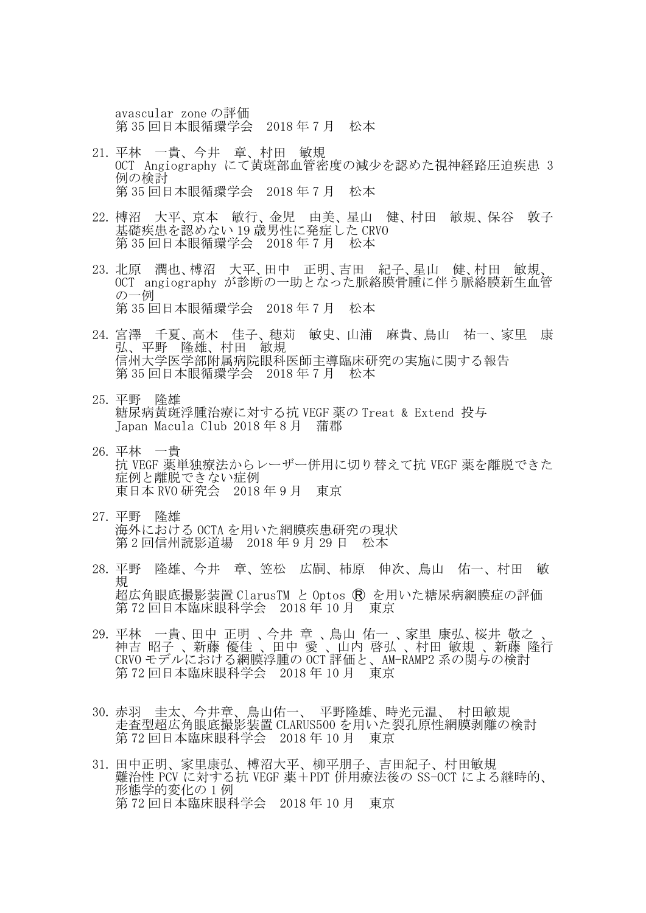avascular zone の評価 第 35 回日本眼循環学会 2018 年 7 月 松本

- 21. 平林 一貴、今井 章、村田 敏規 OCT Angiography にて黄斑部血管密度の減少を認めた視神経路圧迫疾患 3 例の検討 第 35 回日本眼循環学会 2018 年 7 月 松本
- 22. 榑沼 大平、京本 敏行、金児 由美、星山 健、村田 敏規、保谷 敦子 基礎疾患を認めない 19 歳男性に発症した CRVO 第 35 回日本眼循環学会 2018 年 7 月 松本
- 23. 北原 潤也、榑沼 大平、田中 正明、吉田 紀子、星山 健、村田 敏規、 OCT angiography が診断の一助となった脈絡膜骨腫に伴う脈絡膜新生血管 の一例 第 35 回日本眼循環学会 2018 年 7 月 松本
- 24. 宮澤 千夏、高木 佳子、穂苅 敏史、山浦 麻貴、鳥山 祐一、家里 康 弘、平野 隆雄、村田 敏規 信州大学医学部附属病院眼科医師主導臨床研究の実施に関する報告 第 35 回日本眼循環学会 2018 年 7 月 松本
- 25. 平野 隆雄 糖尿病黄斑浮腫治療に対する抗 VEGF 薬の Treat & Extend 投与 Japan Macula Club 2018 年 8 月 蒲郡
- 26. 平林 一貴 抗 VEGF 薬単独療法からレーザー併用に切り替えて抗 VEGF 薬を離脱できた 症例と離脱できない症例 東日本 RVO 研究会 2018 年 9 月 東京
- 27. 平野 隆雄 海外における OCTA を用いた網膜疾患研究の現状 第 2 回信州読影道場 2018 年 9 月 29 日 松本
- 28. 平野 隆雄、今井 章、笠松 広嗣、柿原 伸次、鳥山 佑一、村田 敏 規 超広角眼底撮影装置 ClarusTM と Optos Ⓡ を用いた糖尿病網膜症の評価 第 72 回日本臨床眼科学会 2018年 10 月 東京
- 29. 平林 一貴、田中 正明 、今井 章 、鳥山 佑一 、家里 康弘、桜井 敬之 、 神吉 昭子 、新藤 優佳 、田中 愛 、山内 啓弘 、村田 敏規 、新藤 隆行 CRVO モデルにおける網膜浮腫の OCT 評価と、AM-RAMP2 系の関与の検討 第 72 回日本臨床眼科学会 2018 年 10 月 東京
- 30. 赤羽 圭太、今井章、鳥山佑一、 平野隆雄、時光元温、 村田敏規 走査型超広角眼底撮影装置 CLARUS500 を用いた裂孔原性網膜剥離の検討 第 72 回日本臨床眼科学会 2018 年 10 月 東京
- 31. 田中正明、家里康弘、榑沼大平、柳平朋子、吉田紀子、村田敏規 難治性 PCV に対する抗 VEGF 薬+PDT 併用療法後の SS-OCT による継時的、 形態学的変化の 1 例 第 72 回日本臨床眼科学会 2018 年 10 月 東京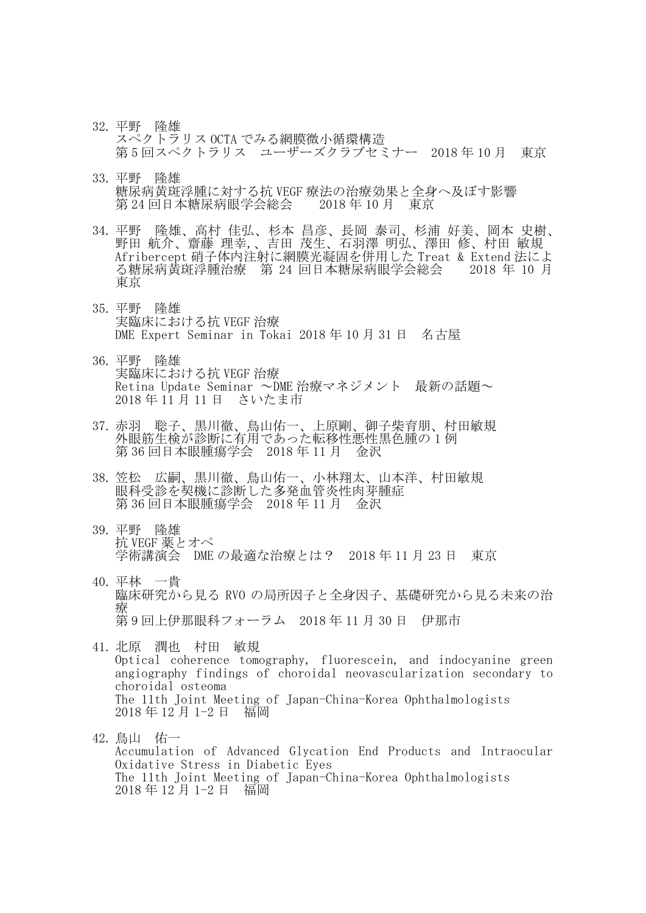- 32. 平野 隆雄 スペクトラリス OCTA でみる網膜微小循環構造 第 5 回スペクトラリス ユーザーズクラブセミナー 2018 年 10 月 東京
- 33. 平野 隆雄 糖尿病黄斑浮腫に対する抗 VEGF 療法の治療効果と全身へ及ぼす影響 第 24 回日本糖尿病眼学会総会 2018 年 10 月 東京
- 34. 平野 隆雄、高村 佳弘、杉本 昌彦、長岡 泰司、杉浦 好美、岡本 史樹、 野田 航介、齋藤 理幸,、吉田 茂生、石羽澤 明弘、澤田 修、村田 敏規 Afribercept 硝子体内注射に網膜光凝固を併用した Treat & Extend 法によ る糖尿病黄斑浮腫治療 第 24 回日本糖尿病眼学会総会 2018 年 10 月 東京
- 35. 平野 隆雄 実臨床における抗 VEGF 治療 DME Expert Seminar in Tokai 2018 年 10 月 31 日 名古屋
- 36. 平野 隆雄 実臨床における抗 VEGF 治療 Retina Update Seminar ~DME 治療マネジメント 最新の話題~ 2018 年 11 月 11 日 さいたま市
- 37. 赤羽 聡子、黒川徹、鳥山佑一、上原剛、御子柴育朋、村田敏規 外眼筋生検が診断に有用であった転移性悪性黒色腫の 1 例 第 36 回日本眼腫瘍学会 2018 年 11 月 金沢
- 38. 笠松 広嗣、黒川徹、鳥山佑一、小林翔太、山本洋、村田敏規 眼科受診を契機に診断した多発血管炎性肉芽腫症 第 36 回日本眼腫瘍学会 2018 年 11 月 金沢
- 39. 平野 隆雄 抗 VEGF 薬とオペ 学術講演会 DME の最適な治療とは? 2018 年 11 月 23 日 東京
- 40. 平林 一貴 臨床研究から見る RVO の局所因子と全身因子、基礎研究から見る未来の治 療 第 9 回上伊那眼科フォーラム 2018 年 11 月 30 日 伊那市
- 41. 北原 潤也 村田 敏規 Optical coherence tomography, fluorescein, and indocyanine green angiography findings of choroidal neovascularization secondary to choroidal osteoma The 11th Joint Meeting of Japan-China-Korea Ophthalmologists 2018 年 12 月 1-2 日 福岡
- 42. 鳥山 佑一 Accumulation of Advanced Glycation End Products and Intraocular Oxidative Stress in Diabetic Eyes The 11th Joint Meeting of Japan-China-Korea Ophthalmologists 2018 年 12 月 1-2 日 福岡